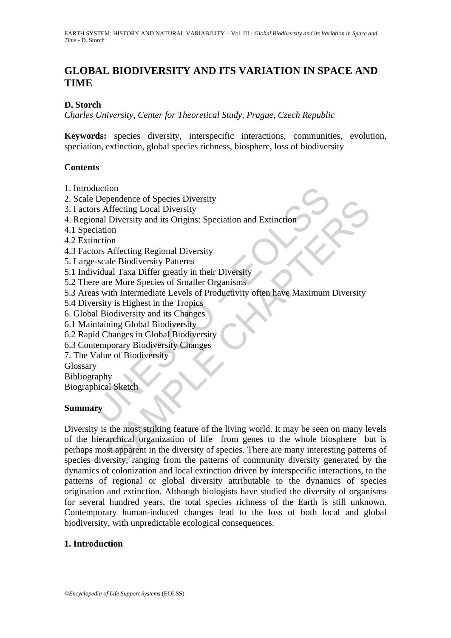# **GLOBAL BIODIVERSITY AND ITS VARIATION IN SPACE AND TIME**

# **D. Storch**

*Charles University, Center for Theoretical Study, Prague, Czech Republic* 

**Keywords:** species diversity, interspecific interactions, communities, evolution, speciation, extinction, global species richness, biosphere, loss of biodiversity

# **Contents**

- 1. Introduction
- 2. Scale Dependence of Species Diversity
- 3. Factors Affecting Local Diversity
- 4. Regional Diversity and its Origins: Speciation and Extinction
- 4.1 Speciation
- 4.2 Extinction
- 4.3 Factors Affecting Regional Diversity
- 5. Large-scale Biodiversity Patterns
- 5.1 Individual Taxa Differ greatly in their Diversity
- 5.2 There are More Species of Smaller Organisms
- duction<br>
Dependence of Species Diversity<br>
Saffecting Local Diversity<br>
Saffecting Local Diversity<br>
Diversity and its Origins: Speciation and Extinction<br>
criation<br>
nction<br>
systems are Species of Smaller Organisms<br>
as with In 5.3 Areas with Intermediate Levels of Productivity often have Maximum Diversity
- 5.4 Diversity is Highest in the Tropics
- 6. Global Biodiversity and its Changes
- 6.1 Maintaining Global Biodiversity
- 6.2 Rapid Changes in Global Biodiversity
- 6.3 Contemporary Biodiversity Changes
- 7. The Value of Biodiversity

Glossary

Bibliography

Biographical Sketch

#### **Summary**

pendence or species Diversity<br>
Affecting Local Diversity<br>
In Diversity and its Origins: Speciation and Extinction<br>
ion<br>
ion<br>
Christical Regional Diversity<br>
rate More Specias of Smaller Organisms<br>
with Intermediate Levels o Diversity is the most striking feature of the living world. It may be seen on many levels of the hierarchical organization of life—from genes to the whole biosphere—but is perhaps most apparent in the diversity of species. There are many interesting patterns of species diversity, ranging from the patterns of community diversity generated by the dynamics of colonization and local extinction driven by interspecific interactions, to the patterns of regional or global diversity attributable to the dynamics of species origination and extinction. Although biologists have studied the diversity of organisms for several hundred years, the total species richness of the Earth is still unknown. Contemporary human-induced changes lead to the loss of both local and global biodiversity, with unpredictable ecological consequences.

# **1. Introduction**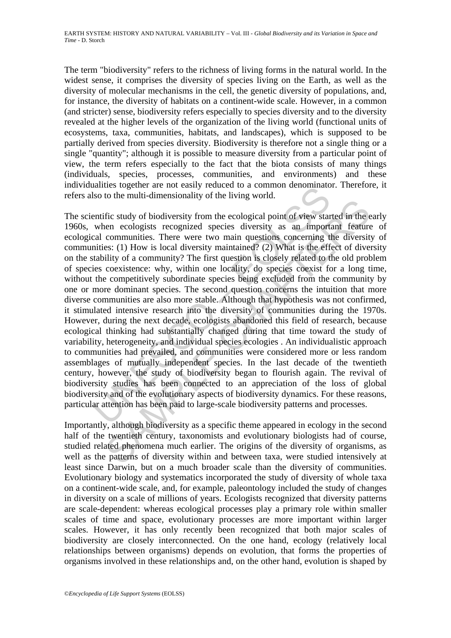The term "biodiversity" refers to the richness of living forms in the natural world. In the widest sense, it comprises the diversity of species living on the Earth, as well as the diversity of molecular mechanisms in the cell, the genetic diversity of populations, and, for instance, the diversity of habitats on a continent-wide scale. However, in a common (and stricter) sense, biodiversity refers especially to species diversity and to the diversity revealed at the higher levels of the organization of the living world (functional units of ecosystems, taxa, communities, habitats, and landscapes), which is supposed to be partially derived from species diversity. Biodiversity is therefore not a single thing or a single "quantity"; although it is possible to measure diversity from a particular point of view, the term refers especially to the fact that the biota consists of many things (individuals, species, processes, communities, and environments) and these individualities together are not easily reduced to a common denominator. Therefore, it refers also to the multi-dimensionality of the living world.

anness together are not easily reduced to a common denominato<br>so to the multi-dimensionality of the living world.<br>entific study of biodiversity from the ecological point of view star<br>when ecologists recognized species dive Fic study of biodiversity from the ecological point of view started in the enerm ecological species diversity as an important feature computities. There were two main questions concerning the diversity est: (1) How is loca The scientific study of biodiversity from the ecological point of view started in the early 1960s, when ecologists recognized species diversity as an important feature of ecological communities. There were two main questions concerning the diversity of communities: (1) How is local diversity maintained? (2) What is the effect of diversity on the stability of a community? The first question is closely related to the old problem of species coexistence: why, within one locality, do species coexist for a long time, without the competitively subordinate species being excluded from the community by one or more dominant species. The second question concerns the intuition that more diverse communities are also more stable. Although that hypothesis was not confirmed, it stimulated intensive research into the diversity of communities during the 1970s. However, during the next decade, ecologists abandoned this field of research, because ecological thinking had substantially changed during that time toward the study of variability, heterogeneity, and individual species ecologies . An individualistic approach to communities had prevailed, and communities were considered more or less random assemblages of mutually independent species. In the last decade of the twentieth century, however, the study of biodiversity began to flourish again. The revival of biodiversity studies has been connected to an appreciation of the loss of global biodiversity and of the evolutionary aspects of biodiversity dynamics. For these reasons, particular attention has been paid to large-scale biodiversity patterns and processes.

Importantly, although biodiversity as a specific theme appeared in ecology in the second half of the twentieth century, taxonomists and evolutionary biologists had of course, studied related phenomena much earlier. The origins of the diversity of organisms, as well as the patterns of diversity within and between taxa, were studied intensively at least since Darwin, but on a much broader scale than the diversity of communities. Evolutionary biology and systematics incorporated the study of diversity of whole taxa on a continent-wide scale, and, for example, paleontology included the study of changes in diversity on a scale of millions of years. Ecologists recognized that diversity patterns are scale-dependent: whereas ecological processes play a primary role within smaller scales of time and space, evolutionary processes are more important within larger scales. However, it has only recently been recognized that both major scales of biodiversity are closely interconnected. On the one hand, ecology (relatively local relationships between organisms) depends on evolution, that forms the properties of organisms involved in these relationships and, on the other hand, evolution is shaped by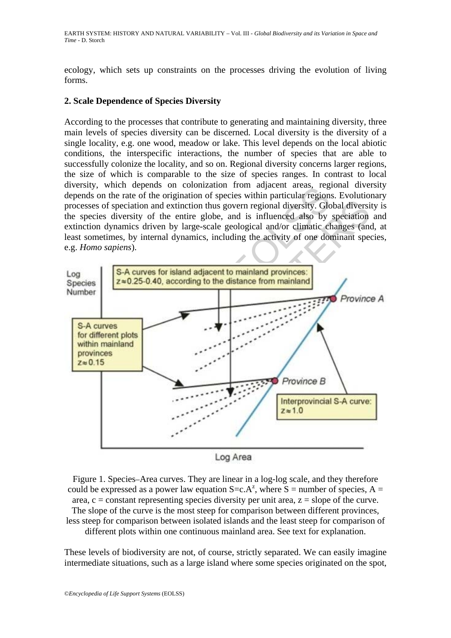ecology, which sets up constraints on the processes driving the evolution of living forms.

#### **2. Scale Dependence of Species Diversity**

According to the processes that contribute to generating and maintaining diversity, three main levels of species diversity can be discerned. Local diversity is the diversity of a single locality, e.g. one wood, meadow or lake. This level depends on the local abiotic conditions, the interspecific interactions, the number of species that are able to successfully colonize the locality, and so on. Regional diversity concerns larger regions, the size of which is comparable to the size of species ranges. In contrast to local diversity, which depends on colonization from adjacent areas, regional diversity depends on the rate of the origination of species within particular regions. Evolutionary processes of speciation and extinction thus govern regional diversity. Global diversity is the species diversity of the entire globe, and is influenced also by speciation and extinction dynamics driven by large-scale geological and/or climatic changes (and, at least sometimes, by internal dynamics, including the activity of one dominant species, e.g. *Homo sapiens*).



Figure 1. Species–Area curves. They are linear in a log-log scale, and they therefore could be expressed as a power law equation  $S=c.A^z$ , where  $S =$  number of species,  $A =$ area,  $c = constant$  representing species diversity per unit area,  $z = slope$  of the curve. The slope of the curve is the most steep for comparison between different provinces, less steep for comparison between isolated islands and the least steep for comparison of different plots within one continuous mainland area. See text for explanation.

These levels of biodiversity are not, of course, strictly separated. We can easily imagine intermediate situations, such as a large island where some species originated on the spot,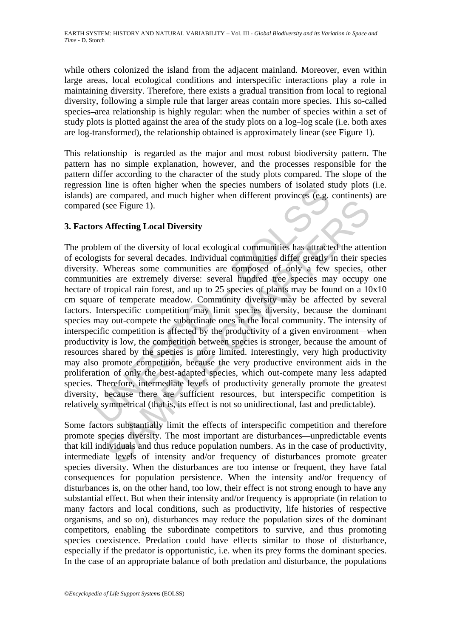while others colonized the island from the adjacent mainland. Moreover, even within large areas, local ecological conditions and interspecific interactions play a role in maintaining diversity. Therefore, there exists a gradual transition from local to regional diversity, following a simple rule that larger areas contain more species. This so-called species–area relationship is highly regular: when the number of species within a set of study plots is plotted against the area of the study plots on a log–log scale (i.e. both axes are log-transformed), the relationship obtained is approximately linear (see Figure 1).

This relationship is regarded as the major and most robust biodiversity pattern. The pattern has no simple explanation, however, and the processes responsible for the pattern differ according to the character of the study plots compared. The slope of the regression line is often higher when the species numbers of isolated study plots (i.e. islands) are compared, and much higher when different provinces (e.g. continents) are compared (see Figure 1).

# **3. Factors Affecting Local Diversity**

on thus offered, and much higher when different provinces or isolated a<br>are compared, and much higher when different provinces (e.g.<br>d (see Figure 1).<br>been of the diversity of local ecological communities has attracted<br>gis See Figure 1).<br>
Affecting Local Diversity<br>
m of the diversity of local ecological communities has attracted the attents for several decades. Individual communities differ greatly in their species for several decades. Indiv The problem of the diversity of local ecological communities has attracted the attention of ecologists for several decades. Individual communities differ greatly in their species diversity. Whereas some communities are composed of only a few species, other communities are extremely diverse: several hundred tree species may occupy one hectare of tropical rain forest, and up to 25 species of plants may be found on a  $10x10$ cm square of temperate meadow. Community diversity may be affected by several factors. Interspecific competition may limit species diversity, because the dominant species may out-compete the subordinate ones in the local community. The intensity of interspecific competition is affected by the productivity of a given environment—when productivity is low, the competition between species is stronger, because the amount of resources shared by the species is more limited. Interestingly, very high productivity may also promote competition, because the very productive environment aids in the proliferation of only the best-adapted species, which out-compete many less adapted species. Therefore, intermediate levels of productivity generally promote the greatest diversity, because there are sufficient resources, but interspecific competition is relatively symmetrical (that is, its effect is not so unidirectional, fast and predictable).

Some factors substantially limit the effects of interspecific competition and therefore promote species diversity. The most important are disturbances—unpredictable events that kill individuals and thus reduce population numbers. As in the case of productivity, intermediate levels of intensity and/or frequency of disturbances promote greater species diversity. When the disturbances are too intense or frequent, they have fatal consequences for population persistence. When the intensity and/or frequency of disturbances is, on the other hand, too low, their effect is not strong enough to have any substantial effect. But when their intensity and/or frequency is appropriate (in relation to many factors and local conditions, such as productivity, life histories of respective organisms, and so on), disturbances may reduce the population sizes of the dominant competitors, enabling the subordinate competitors to survive, and thus promoting species coexistence. Predation could have effects similar to those of disturbance, especially if the predator is opportunistic, i.e. when its prey forms the dominant species. In the case of an appropriate balance of both predation and disturbance, the populations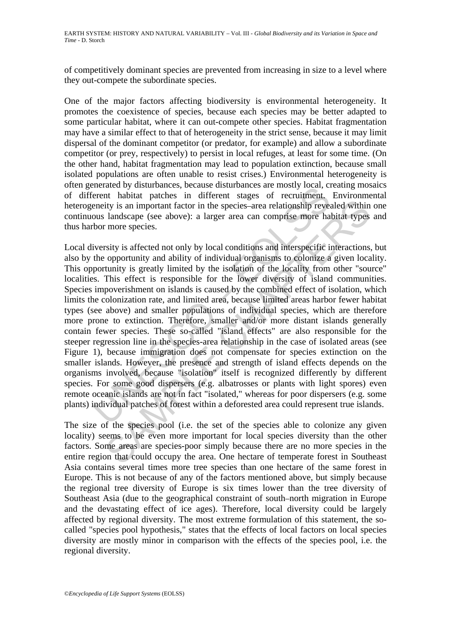of competitively dominant species are prevented from increasing in size to a level where they out-compete the subordinate species.

One of the major factors affecting biodiversity is environmental heterogeneity. It promotes the coexistence of species, because each species may be better adapted to some particular habitat, where it can out-compete other species. Habitat fragmentation may have a similar effect to that of heterogeneity in the strict sense, because it may limit dispersal of the dominant competitor (or predator, for example) and allow a subordinate competitor (or prey, respectively) to persist in local refuges, at least for some time. (On the other hand, habitat fragmentation may lead to population extinction, because small isolated populations are often unable to resist crises.) Environmental heterogeneity is often generated by disturbances, because disturbances are mostly local, creating mosaics of different habitat patches in different stages of recruitment. Environmental heterogeneity is an important factor in the species–area relationship revealed within one continuous landscape (see above): a larger area can comprise more habitat types and thus harbor more species.

Exercise of valuations, because unistances are mostly obcat, can<br>elevent habitat packes in different stages of recruitment.<br>enerty is an important factor in the species-area relationship reveaus landscape (see above): a la ity is an important factor in the species-area relationship revealed within<br>landscape (see above): a larger area can comprise more habitat types<br>more species.<br>This affected not only by local conditions and interspecific in Local diversity is affected not only by local conditions and interspecific interactions, but also by the opportunity and ability of individual organisms to colonize a given locality. This opportunity is greatly limited by the isolation of the locality from other "source" localities. This effect is responsible for the lower diversity of island communities. Species impoverishment on islands is caused by the combined effect of isolation, which limits the colonization rate, and limited area, because limited areas harbor fewer habitat types (see above) and smaller populations of individual species, which are therefore more prone to extinction. Therefore, smaller and/or more distant islands generally contain fewer species. These so-called "island effects" are also responsible for the steeper regression line in the species-area relationship in the case of isolated areas (see Figure 1), because immigration does not compensate for species extinction on the smaller islands. However, the presence and strength of island effects depends on the organisms involved, because "isolation" itself is recognized differently by different species. For some good dispersers (e.g. albatrosses or plants with light spores) even remote oceanic islands are not in fact "isolated," whereas for poor dispersers (e.g. some plants) individual patches of forest within a deforested area could represent true islands.

The size of the species pool (i.e. the set of the species able to colonize any given locality) seems to be even more important for local species diversity than the other factors. Some areas are species-poor simply because there are no more species in the entire region that could occupy the area. One hectare of temperate forest in Southeast Asia contains several times more tree species than one hectare of the same forest in Europe. This is not because of any of the factors mentioned above, but simply because the regional tree diversity of Europe is six times lower than the tree diversity of Southeast Asia (due to the geographical constraint of south–north migration in Europe and the devastating effect of ice ages). Therefore, local diversity could be largely affected by regional diversity. The most extreme formulation of this statement, the socalled "species pool hypothesis," states that the effects of local factors on local species diversity are mostly minor in comparison with the effects of the species pool, i.e. the regional diversity.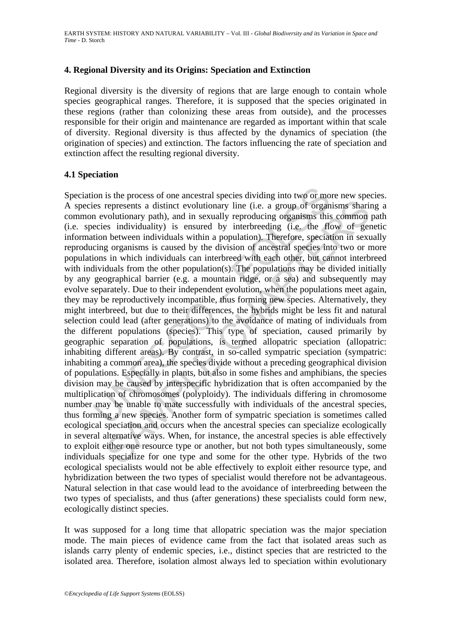### **4. Regional Diversity and its Origins: Speciation and Extinction**

Regional diversity is the diversity of regions that are large enough to contain whole species geographical ranges. Therefore, it is supposed that the species originated in these regions (rather than colonizing these areas from outside), and the processes responsible for their origin and maintenance are regarded as important within that scale of diversity. Regional diversity is thus affected by the dynamics of speciation (the origination of species) and extinction. The factors influencing the rate of speciation and extinction affect the resulting regional diversity.

### **4.1 Speciation**

ion is the process of one ancestral species dividing into two or mo<br>es represents a distinct evolutionary line (i.e. a group of organ<br>n evolutionary path), and in sexually reproducing organisms this<br>ecies individuality) is represents a distinct evolutionary line (i.e. a group of organisms sharinoulutionary path), and in sexually reproducing organisms this common represents a distinct evolutionary line (i.e. a group of organisms sharinoulutio Speciation is the process of one ancestral species dividing into two or more new species. A species represents a distinct evolutionary line (i.e. a group of organisms sharing a common evolutionary path), and in sexually reproducing organisms this common path (i.e. species individuality) is ensured by interbreeding (i.e. the flow of genetic information between individuals within a population). Therefore, speciation in sexually reproducing organisms is caused by the division of ancestral species into two or more populations in which individuals can interbreed with each other, but cannot interbreed with individuals from the other population(s). The populations may be divided initially by any geographical barrier (e.g. a mountain ridge, or a sea) and subsequently may evolve separately. Due to their independent evolution, when the populations meet again, they may be reproductively incompatible, thus forming new species. Alternatively, they might interbreed, but due to their differences, the hybrids might be less fit and natural selection could lead (after generations) to the avoidance of mating of individuals from the different populations (species). This type of speciation, caused primarily by geographic separation of populations, is termed allopatric speciation (allopatric: inhabiting different areas). By contrast, in so-called sympatric speciation (sympatric: inhabiting a common area), the species divide without a preceding geographical division of populations. Especially in plants, but also in some fishes and amphibians, the species division may be caused by interspecific hybridization that is often accompanied by the multiplication of chromosomes (polyploidy). The individuals differing in chromosome number may be unable to mate successfully with individuals of the ancestral species, thus forming a new species. Another form of sympatric speciation is sometimes called ecological speciation and occurs when the ancestral species can specialize ecologically in several alternative ways. When, for instance, the ancestral species is able effectively to exploit either one resource type or another, but not both types simultaneously, some individuals specialize for one type and some for the other type. Hybrids of the two ecological specialists would not be able effectively to exploit either resource type, and hybridization between the two types of specialist would therefore not be advantageous. Natural selection in that case would lead to the avoidance of interbreeding between the two types of specialists, and thus (after generations) these specialists could form new, ecologically distinct species.

It was supposed for a long time that allopatric speciation was the major speciation mode. The main pieces of evidence came from the fact that isolated areas such as islands carry plenty of endemic species, i.e., distinct species that are restricted to the isolated area. Therefore, isolation almost always led to speciation within evolutionary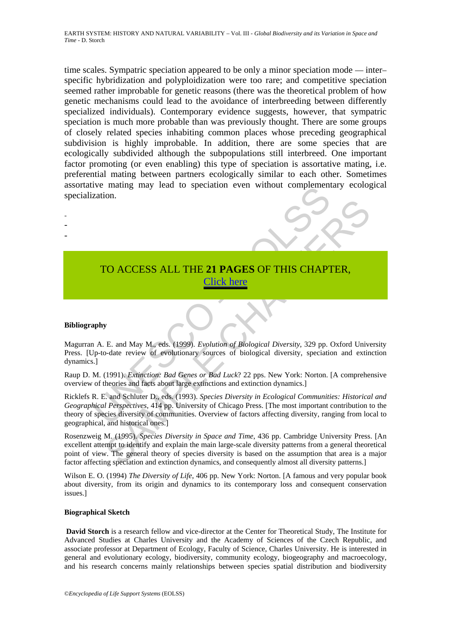time scales. Sympatric speciation appeared to be only a minor speciation mode — inter– specific hybridization and polyploidization were too rare; and competitive speciation seemed rather improbable for genetic reasons (there was the theoretical problem of how genetic mechanisms could lead to the avoidance of interbreeding between differently specialized individuals). Contemporary evidence suggests, however, that sympatric speciation is much more probable than was previously thought. There are some groups of closely related species inhabiting common places whose preceding geographical subdivision is highly improbable. In addition, there are some species that are ecologically subdivided although the subpopulations still interbreed. One important factor promoting (or even enabling) this type of speciation is assortative mating, i.e. preferential mating between partners ecologically similar to each other. Sometimes assortative mating may lead to speciation even without complementary ecological specialization.

- -
- 
- -

# TO ACCESS ALL THE **21 PAGES** OF THIS CHAPTER, Click here

#### **Bibliography**

Magurran A. E. and May M., eds. (1999). *Evolution of Biological Diversity*, 329 pp. Oxford University Press. [Up-to-date review of evolutionary sources of biological diversity, speciation and extinction dynamics.]

Raup D. M. (1991). *Extinction: Bad Genes or Bad Luck*? 22 pps. New York: Norton. [A comprehensive overview of theories and facts about large extinctions and extinction dynamics.]

TO ACCESS ALL THE 21 PAGES OF THIS CHAPT<br>
TO ACCESS ALL THE 21 PAGES OF THIS CHAPT<br>
Click here<br>
and May M., eds. (1999). Evolution of Biological Diversity, 329 pp.<br>
14. E. and May M., eds. (1999). Evolution of Biological D Ricklefs R. E. and Schluter D., eds. (1993). *Species Diversity in Ecological Communities: Historical and Geographical Perspectives*, 414 pp. University of Chicago Press. [The most important contribution to the theory of species diversity of communities. Overview of factors affecting diversity, ranging from local to geographical, and historical ones.]

TO ACCESS ALL THE 21 PAGES OF THIS CHAPTER,<br>
E. and May M., eds. (1999). Evolution of Biological Diversity, 329 pp. Oxford University of the eview of evolutionary sources of biological Diversity, 329 pp. Oxford University Rosenzweig M. (1995). *Species Diversity in Space and Time*, 436 pp. Cambridge University Press. [An excellent attempt to identify and explain the main large-scale diversity patterns from a general theoretical point of view. The general theory of species diversity is based on the assumption that area is a major factor affecting speciation and extinction dynamics, and consequently almost all diversity patterns.]

Wilson E. O. (1994) *The Diversity of Life*, 406 pp. New York: Norton. [A famous and very popular book about diversity, from its origin and dynamics to its contemporary loss and consequent conservation issues.]

#### **Biographical Sketch**

 **David Storch** is a research fellow and vice-director at the Center for Theoretical Study, The Institute for Advanced Studies at Charles University and the Academy of Sciences of the Czech Republic, and associate professor at Department of Ecology, Faculty of Science, Charles University. He is interested in general and evolutionary ecology, biodiversity, community ecology, biogeography and macroecology, and his research concerns mainly relationships between species spatial distribution and biodiversity